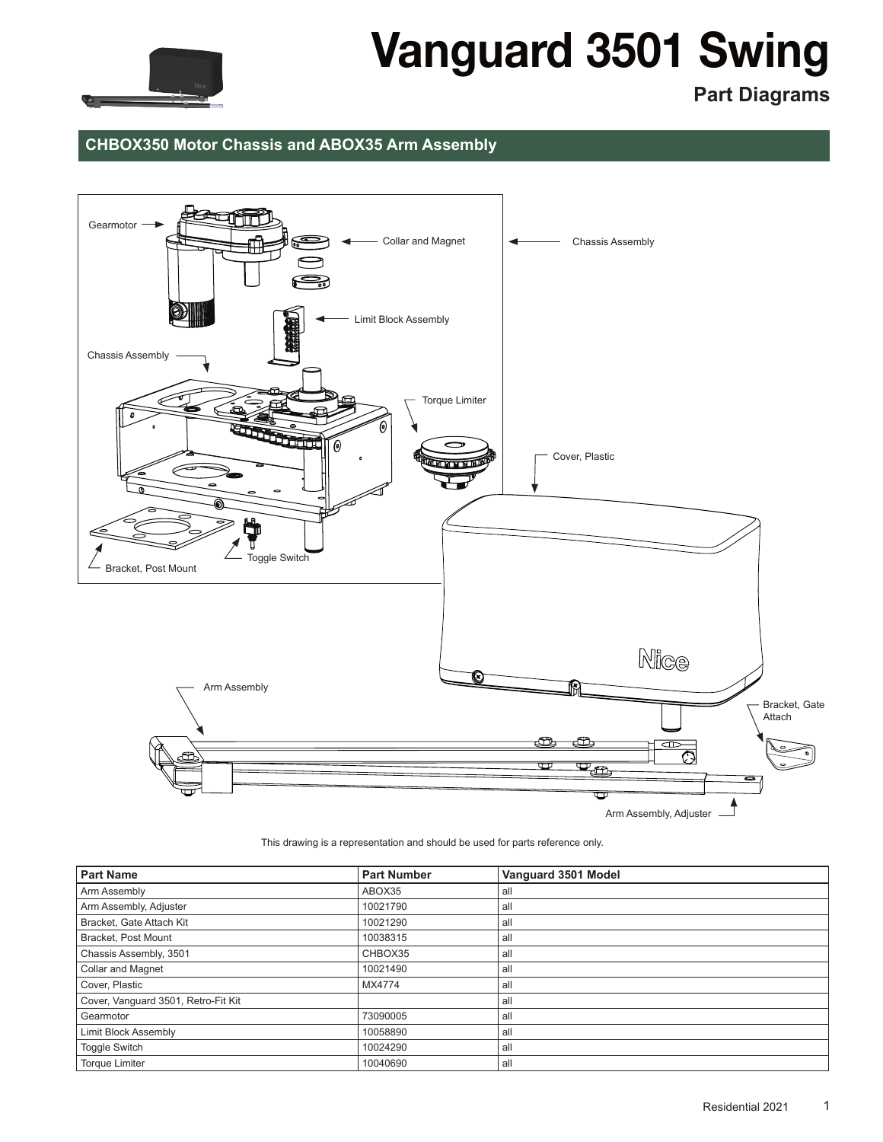

## Vanguard 3501 Swing

**Part Diagrams**

## **CHBOX350 Motor Chassis and ABOX35 Arm Assembly**



This drawing is a representation and should be used for parts reference only.

| <b>Part Name</b>                    | <b>Part Number</b> | Vanguard 3501 Model |
|-------------------------------------|--------------------|---------------------|
| Arm Assembly                        | ABOX35             | all                 |
| Arm Assembly, Adjuster              | 10021790           | all                 |
| Bracket, Gate Attach Kit            | 10021290           | all                 |
| Bracket, Post Mount                 | 10038315           | all                 |
| Chassis Assembly, 3501              | CHBOX35            | all                 |
| <b>Collar and Magnet</b>            | 10021490           | all                 |
| Cover, Plastic                      | MX4774             | all                 |
| Cover, Vanguard 3501, Retro-Fit Kit |                    | all                 |
| Gearmotor                           | 73090005           | all                 |
| <b>Limit Block Assembly</b>         | 10058890           | all                 |
| Toggle Switch                       | 10024290           | all                 |
| <b>Torque Limiter</b>               | 10040690           | all                 |